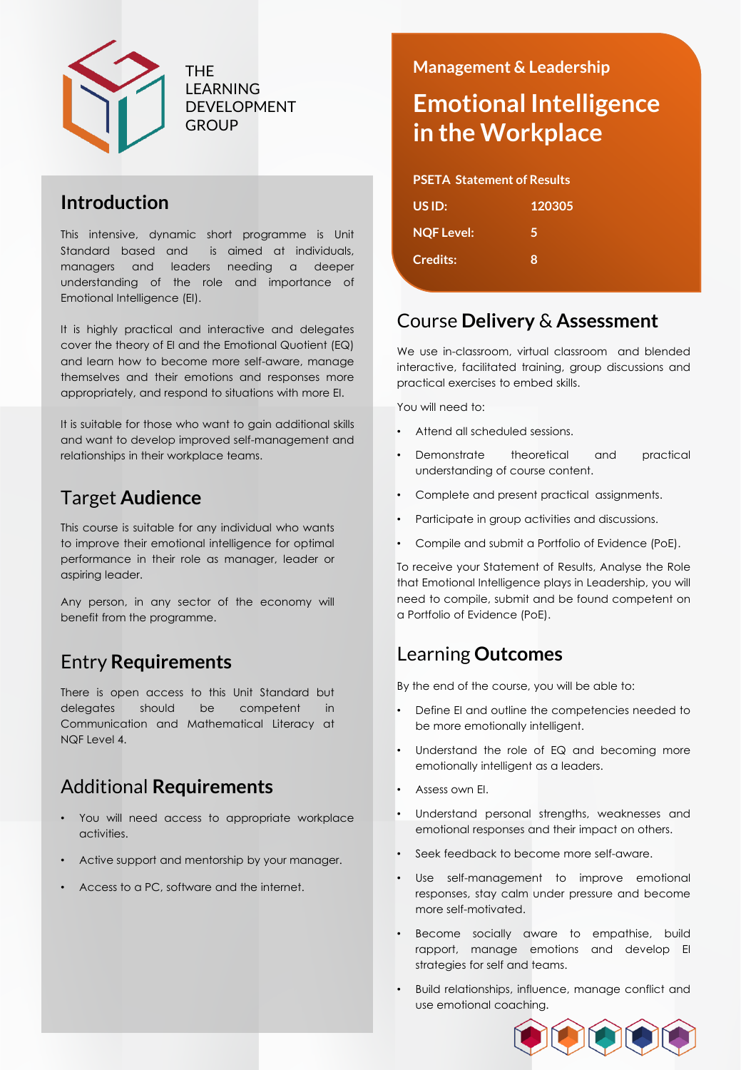

THE LEARNING DEVELOPMENT **GROUP** 

### **Introduction**

This intensive, dynamic short programme is Unit Standard based and is aimed at individuals, managers and leaders needing a deeper understanding of the role and importance of Emotional Intelligence (EI).

It is highly practical and interactive and delegates cover the theory of EI and the Emotional Quotient (EQ) and learn how to become more self-aware, manage themselves and their emotions and responses more appropriately, and respond to situations with more EI.

It is suitable for those who want to gain additional skills and want to develop improved self-management and relationships in their workplace teams.

### Target **Audience**

This course is suitable for any individual who wants to improve their emotional intelligence for optimal performance in their role as manager, leader or aspiring leader.

Any person, in any sector of the economy will benefit from the programme.

## Entry **Requirements**

There is open access to this Unit Standard but delegates should be competent in Communication and Mathematical Literacy at NQF Level 4.

### Additional **Requirements**

- You will need access to appropriate workplace activities.
- Active support and mentorship by your manager.
- Access to a PC, software and the internet.

### **Management & Leadership**

# **Emotional Intelligence in the Workplace**

#### **PSETA Statement of Results**

| US ID:            | 120305 |  |
|-------------------|--------|--|
| <b>NQF Level:</b> | 5      |  |
| <b>Credits:</b>   | Β.     |  |
|                   |        |  |

### Course **Delivery** & **Assessment**

We use in-classroom, virtual classroom and blended interactive, facilitated training, group discussions and practical exercises to embed skills.

You will need to:

- Attend all scheduled sessions.
- Demonstrate theoretical and practical understanding of course content.
- Complete and present practical assignments.
- Participate in group activities and discussions.
- Compile and submit a Portfolio of Evidence (PoE).

To receive your Statement of Results, Analyse the Role that Emotional Intelligence plays in Leadership, you will need to compile, submit and be found competent on a Portfolio of Evidence (PoE).

### Learning **Outcomes**

By the end of the course, you will be able to:

- Define EI and outline the competencies needed to be more emotionally intelligent.
- Understand the role of EQ and becoming more emotionally intelligent as a leaders.
- Assess own EI.
- Understand personal strengths, weaknesses and emotional responses and their impact on others.
- Seek feedback to become more self-aware.
- Use self-management to improve emotional responses, stay calm under pressure and become more self-motivated.
- Become socially aware to empathise, build rapport, manage emotions and develop EI strategies for self and teams.
- Build relationships, influence, manage conflict and use emotional coaching.